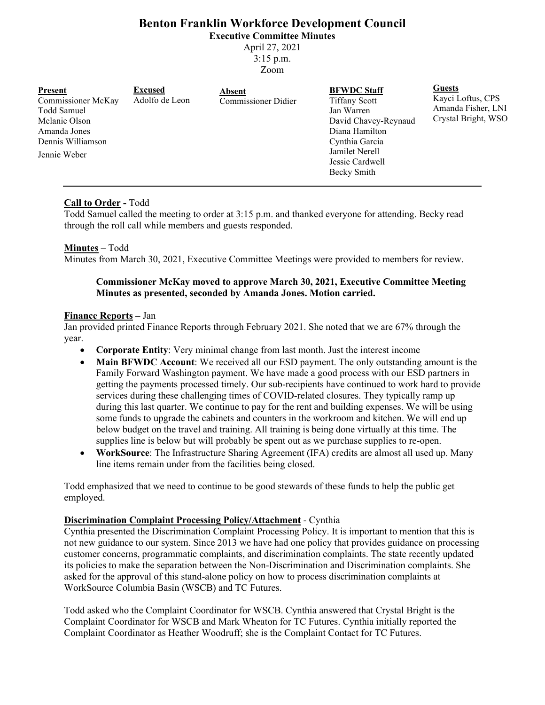# **Benton Franklin Workforce Development Council**

**Executive Committee Minutes**

April 27, 2021 3:15 p.m.

Zoom

| <b>Present</b><br>Commissioner McKay<br>Todd Samuel<br>Melanie Olson<br>Amanda Jones<br>Dennis Williamson<br>Jennie Weber | <b>Excused</b><br>Adolfo de Leon | <b>Absent</b><br><b>Commissioner Didier</b> | <b>BFWDC</b> Staff<br><b>Tiffany Scott</b><br>Jan Warren<br>David Chavey-Reynaud<br>Diana Hamilton<br>Cynthia Garcia<br>Jamilet Nerell<br>Jessie Cardwell<br>Becky Smith | <b>Guests</b><br>Kayci Loftus, CPS<br>Amanda Fisher, LNI<br>Crystal Bright, WSO |
|---------------------------------------------------------------------------------------------------------------------------|----------------------------------|---------------------------------------------|--------------------------------------------------------------------------------------------------------------------------------------------------------------------------|---------------------------------------------------------------------------------|
|---------------------------------------------------------------------------------------------------------------------------|----------------------------------|---------------------------------------------|--------------------------------------------------------------------------------------------------------------------------------------------------------------------------|---------------------------------------------------------------------------------|

# **Call to Order -** Todd

Todd Samuel called the meeting to order at 3:15 p.m. and thanked everyone for attending. Becky read through the roll call while members and guests responded.

# **Minutes –** Todd

Minutes from March 30, 2021, Executive Committee Meetings were provided to members for review.

## **Commissioner McKay moved to approve March 30, 2021, Executive Committee Meeting Minutes as presented, seconded by Amanda Jones. Motion carried.**

## **Finance Reports –** Jan

Jan provided printed Finance Reports through February 2021. She noted that we are 67% through the year.

- **Corporate Entity**: Very minimal change from last month. Just the interest income
- **Main BFWDC Account**: We received all our ESD payment. The only outstanding amount is the Family Forward Washington payment. We have made a good process with our ESD partners in getting the payments processed timely. Our sub-recipients have continued to work hard to provide services during these challenging times of COVID-related closures. They typically ramp up during this last quarter. We continue to pay for the rent and building expenses. We will be using some funds to upgrade the cabinets and counters in the workroom and kitchen. We will end up below budget on the travel and training. All training is being done virtually at this time. The supplies line is below but will probably be spent out as we purchase supplies to re-open.
- **WorkSource**: The Infrastructure Sharing Agreement (IFA) credits are almost all used up. Many line items remain under from the facilities being closed.

Todd emphasized that we need to continue to be good stewards of these funds to help the public get employed.

# **Discrimination Complaint Processing Policy/Attachment** - Cynthia

Cynthia presented the Discrimination Complaint Processing Policy. It is important to mention that this is not new guidance to our system. Since 2013 we have had one policy that provides guidance on processing customer concerns, programmatic complaints, and discrimination complaints. The state recently updated its policies to make the separation between the Non-Discrimination and Discrimination complaints. She asked for the approval of this stand-alone policy on how to process discrimination complaints at WorkSource Columbia Basin (WSCB) and TC Futures.

Todd asked who the Complaint Coordinator for WSCB. Cynthia answered that Crystal Bright is the Complaint Coordinator for WSCB and Mark Wheaton for TC Futures. Cynthia initially reported the Complaint Coordinator as Heather Woodruff; she is the Complaint Contact for TC Futures.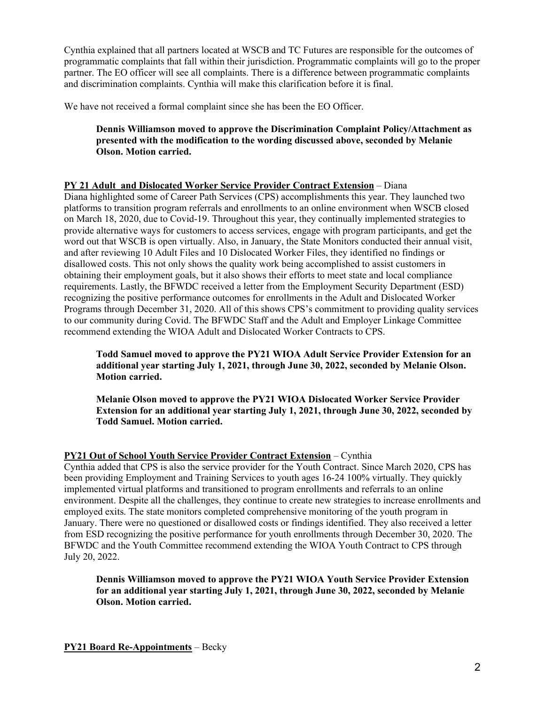Cynthia explained that all partners located at WSCB and TC Futures are responsible for the outcomes of programmatic complaints that fall within their jurisdiction. Programmatic complaints will go to the proper partner. The EO officer will see all complaints. There is a difference between programmatic complaints and discrimination complaints. Cynthia will make this clarification before it is final.

We have not received a formal complaint since she has been the EO Officer.

**Dennis Williamson moved to approve the Discrimination Complaint Policy/Attachment as presented with the modification to the wording discussed above, seconded by Melanie Olson. Motion carried.**

## **PY 21 Adult and Dislocated Worker Service Provider Contract Extension** – Diana

Diana highlighted some of Career Path Services (CPS) accomplishments this year. They launched two platforms to transition program referrals and enrollments to an online environment when WSCB closed on March 18, 2020, due to Covid-19. Throughout this year, they continually implemented strategies to provide alternative ways for customers to access services, engage with program participants, and get the word out that WSCB is open virtually. Also, in January, the State Monitors conducted their annual visit, and after reviewing 10 Adult Files and 10 Dislocated Worker Files, they identified no findings or disallowed costs. This not only shows the quality work being accomplished to assist customers in obtaining their employment goals, but it also shows their efforts to meet state and local compliance requirements. Lastly, the BFWDC received a letter from the Employment Security Department (ESD) recognizing the positive performance outcomes for enrollments in the Adult and Dislocated Worker Programs through December 31, 2020. All of this shows CPS's commitment to providing quality services to our community during Covid. The BFWDC Staff and the Adult and Employer Linkage Committee recommend extending the WIOA Adult and Dislocated Worker Contracts to CPS.

**Todd Samuel moved to approve the PY21 WIOA Adult Service Provider Extension for an additional year starting July 1, 2021, through June 30, 2022, seconded by Melanie Olson. Motion carried.** 

**Melanie Olson moved to approve the PY21 WIOA Dislocated Worker Service Provider Extension for an additional year starting July 1, 2021, through June 30, 2022, seconded by Todd Samuel. Motion carried.**

# **PY21 Out of School Youth Service Provider Contract Extension** – Cynthia

Cynthia added that CPS is also the service provider for the Youth Contract. Since March 2020, CPS has been providing Employment and Training Services to youth ages 16-24 100% virtually. They quickly implemented virtual platforms and transitioned to program enrollments and referrals to an online environment. Despite all the challenges, they continue to create new strategies to increase enrollments and employed exits. The state monitors completed comprehensive monitoring of the youth program in January. There were no questioned or disallowed costs or findings identified. They also received a letter from ESD recognizing the positive performance for youth enrollments through December 30, 2020. The BFWDC and the Youth Committee recommend extending the WIOA Youth Contract to CPS through July 20, 2022.

**Dennis Williamson moved to approve the PY21 WIOA Youth Service Provider Extension for an additional year starting July 1, 2021, through June 30, 2022, seconded by Melanie Olson. Motion carried.**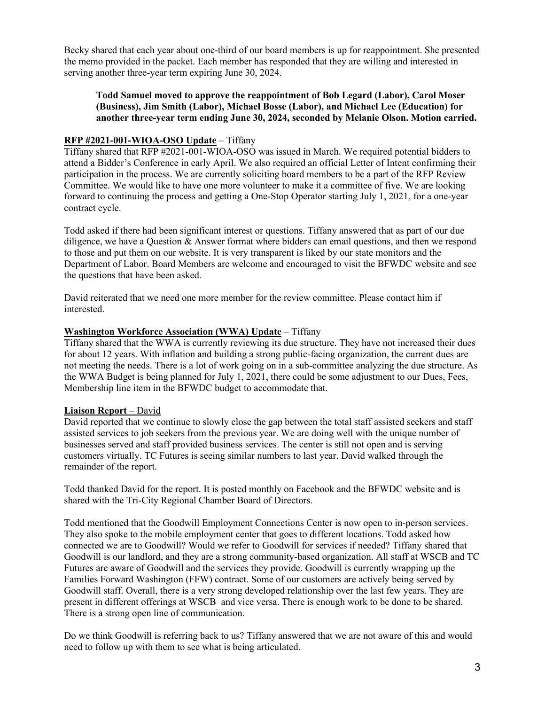Becky shared that each year about one-third of our board members is up for reappointment. She presented the memo provided in the packet. Each member has responded that they are willing and interested in serving another three-year term expiring June 30, 2024.

## **Todd Samuel moved to approve the reappointment of Bob Legard (Labor), Carol Moser (Business), Jim Smith (Labor), Michael Bosse (Labor), and Michael Lee (Education) for another three-year term ending June 30, 2024, seconded by Melanie Olson. Motion carried.**

## **RFP #2021-001-WIOA-OSO Update** – Tiffany

Tiffany shared that RFP #2021-001-WIOA-OSO was issued in March. We required potential bidders to attend a Bidder's Conference in early April. We also required an official Letter of Intent confirming their participation in the process. We are currently soliciting board members to be a part of the RFP Review Committee. We would like to have one more volunteer to make it a committee of five. We are looking forward to continuing the process and getting a One-Stop Operator starting July 1, 2021, for a one-year contract cycle.

Todd asked if there had been significant interest or questions. Tiffany answered that as part of our due diligence, we have a Question & Answer format where bidders can email questions, and then we respond to those and put them on our website. It is very transparent is liked by our state monitors and the Department of Labor. Board Members are welcome and encouraged to visit the BFWDC website and see the questions that have been asked.

David reiterated that we need one more member for the review committee. Please contact him if interested.

#### **Washington Workforce Association (WWA) Update** – Tiffany

Tiffany shared that the WWA is currently reviewing its due structure. They have not increased their dues for about 12 years. With inflation and building a strong public-facing organization, the current dues are not meeting the needs. There is a lot of work going on in a sub-committee analyzing the due structure. As the WWA Budget is being planned for July 1, 2021, there could be some adjustment to our Dues, Fees, Membership line item in the BFWDC budget to accommodate that.

#### **Liaison Report** – David

David reported that we continue to slowly close the gap between the total staff assisted seekers and staff assisted services to job seekers from the previous year. We are doing well with the unique number of businesses served and staff provided business services. The center is still not open and is serving customers virtually. TC Futures is seeing similar numbers to last year. David walked through the remainder of the report.

Todd thanked David for the report. It is posted monthly on Facebook and the BFWDC website and is shared with the Tri-City Regional Chamber Board of Directors.

Todd mentioned that the Goodwill Employment Connections Center is now open to in-person services. They also spoke to the mobile employment center that goes to different locations. Todd asked how connected we are to Goodwill? Would we refer to Goodwill for services if needed? Tiffany shared that Goodwill is our landlord, and they are a strong community-based organization. All staff at WSCB and TC Futures are aware of Goodwill and the services they provide. Goodwill is currently wrapping up the Families Forward Washington (FFW) contract. Some of our customers are actively being served by Goodwill staff. Overall, there is a very strong developed relationship over the last few years. They are present in different offerings at WSCB and vice versa. There is enough work to be done to be shared. There is a strong open line of communication.

Do we think Goodwill is referring back to us? Tiffany answered that we are not aware of this and would need to follow up with them to see what is being articulated.